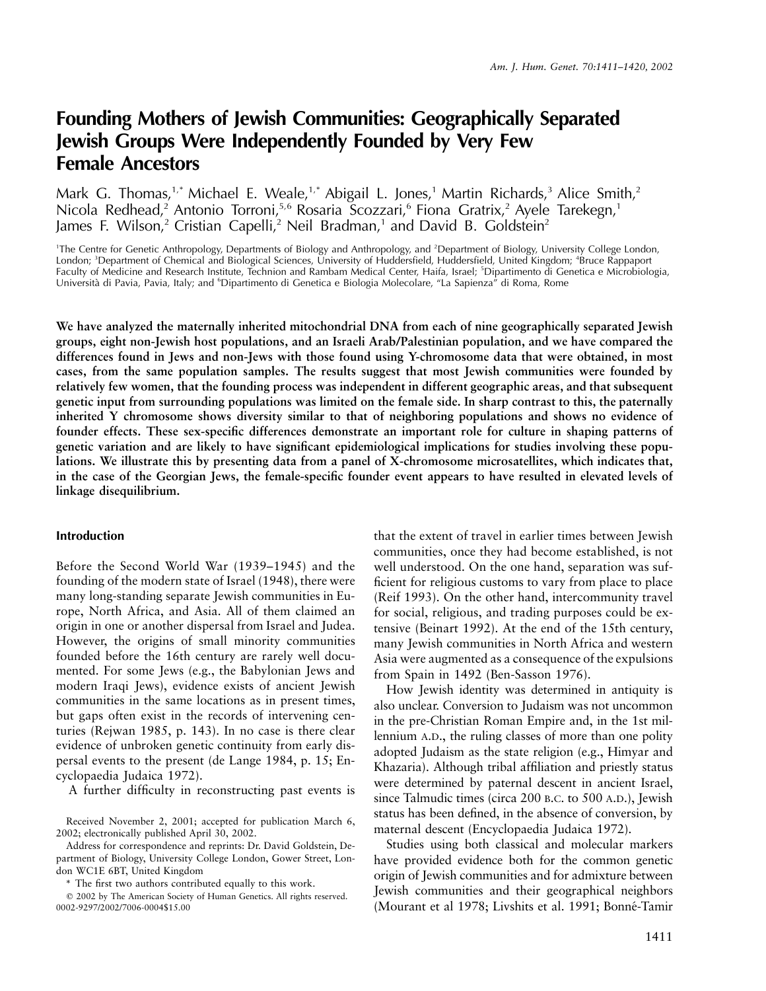# **Founding Mothers of Jewish Communities: Geographically Separated Jewish Groups Were Independently Founded by Very Few Female Ancestors**

Mark G. Thomas,<sup>1,\*</sup> Michael E. Weale,<sup>1,\*</sup> Abigail L. Jones,<sup>1</sup> Martin Richards,<sup>3</sup> Alice Smith,<sup>2</sup> Nicola Redhead,<sup>2</sup> Antonio Torroni,<sup>5,6</sup> Rosaria Scozzari,<sup>6</sup> Fiona Gratrix,<sup>2</sup> Ayele Tarekegn,<sup>1</sup> James F. Wilson,<sup>2</sup> Cristian Capelli,<sup>2</sup> Neil Bradman,<sup>1</sup> and David B. Goldstein<sup>2</sup>

<sup>1</sup>The Centre for Genetic Anthropology, Departments of Biology and Anthropology, and <sup>2</sup>Department of Biology, University College London, London; <sup>3</sup>Department of Chemical and Biological Sciences, University of Huddersfield, Huddersfield, United Kingdom; <sup>4</sup>Bruce Rappaport Faculty of Medicine and Research Institute, Technion and Rambam Medical Center, Haifa, Israel; <sup>5</sup> Dipartimento di Genetica e Microbiologia, Università di Pavia, Pavia, Italy; and <sup>6</sup>Dipartimento di Genetica e Biologia Molecolare, "La Sapienza" di Roma, Rome

**We have analyzed the maternally inherited mitochondrial DNA from each of nine geographically separated Jewish groups, eight non-Jewish host populations, and an Israeli Arab/Palestinian population, and we have compared the differences found in Jews and non-Jews with those found using Y-chromosome data that were obtained, in most cases, from the same population samples. The results suggest that most Jewish communities were founded by relatively few women, that the founding process was independent in different geographic areas, and that subsequent genetic input from surrounding populations was limited on the female side. In sharp contrast to this, the paternally inherited Y chromosome shows diversity similar to that of neighboring populations and shows no evidence of founder effects. These sex-specific differences demonstrate an important role for culture in shaping patterns of genetic variation and are likely to have significant epidemiological implications for studies involving these populations. We illustrate this by presenting data from a panel of X-chromosome microsatellites, which indicates that, in the case of the Georgian Jews, the female-specific founder event appears to have resulted in elevated levels of linkage disequilibrium.**

## **Introduction**

Before the Second World War (1939–1945) and the founding of the modern state of Israel (1948), there were many long-standing separate Jewish communities in Europe, North Africa, and Asia. All of them claimed an origin in one or another dispersal from Israel and Judea. However, the origins of small minority communities founded before the 16th century are rarely well documented. For some Jews (e.g., the Babylonian Jews and modern Iraqi Jews), evidence exists of ancient Jewish communities in the same locations as in present times, but gaps often exist in the records of intervening centuries (Rejwan 1985, p. 143). In no case is there clear evidence of unbroken genetic continuity from early dispersal events to the present (de Lange 1984, p. 15; Encyclopaedia Judaica 1972).

A further difficulty in reconstructing past events is

\* The first two authors contributed equally to this work.

 2002 by The American Society of Human Genetics. All rights reserved. 0002-9297/2002/7006-0004\$15.00

that the extent of travel in earlier times between Jewish communities, once they had become established, is not well understood. On the one hand, separation was sufficient for religious customs to vary from place to place (Reif 1993). On the other hand, intercommunity travel for social, religious, and trading purposes could be extensive (Beinart 1992). At the end of the 15th century, many Jewish communities in North Africa and western Asia were augmented as a consequence of the expulsions from Spain in 1492 (Ben-Sasson 1976).

How Jewish identity was determined in antiquity is also unclear. Conversion to Judaism was not uncommon in the pre-Christian Roman Empire and, in the 1st millennium A.D., the ruling classes of more than one polity adopted Judaism as the state religion (e.g., Himyar and Khazaria). Although tribal affiliation and priestly status were determined by paternal descent in ancient Israel, since Talmudic times (circa 200 B.C. to 500 A.D.), Jewish status has been defined, in the absence of conversion, by maternal descent (Encyclopaedia Judaica 1972).

Studies using both classical and molecular markers have provided evidence both for the common genetic origin of Jewish communities and for admixture between Jewish communities and their geographical neighbors (Mourant et al 1978; Livshits et al. 1991; Bonné-Tamir

Received November 2, 2001; accepted for publication March 6, 2002; electronically published April 30, 2002.

Address for correspondence and reprints: Dr. David Goldstein, Department of Biology, University College London, Gower Street, London WC1E 6BT, United Kingdom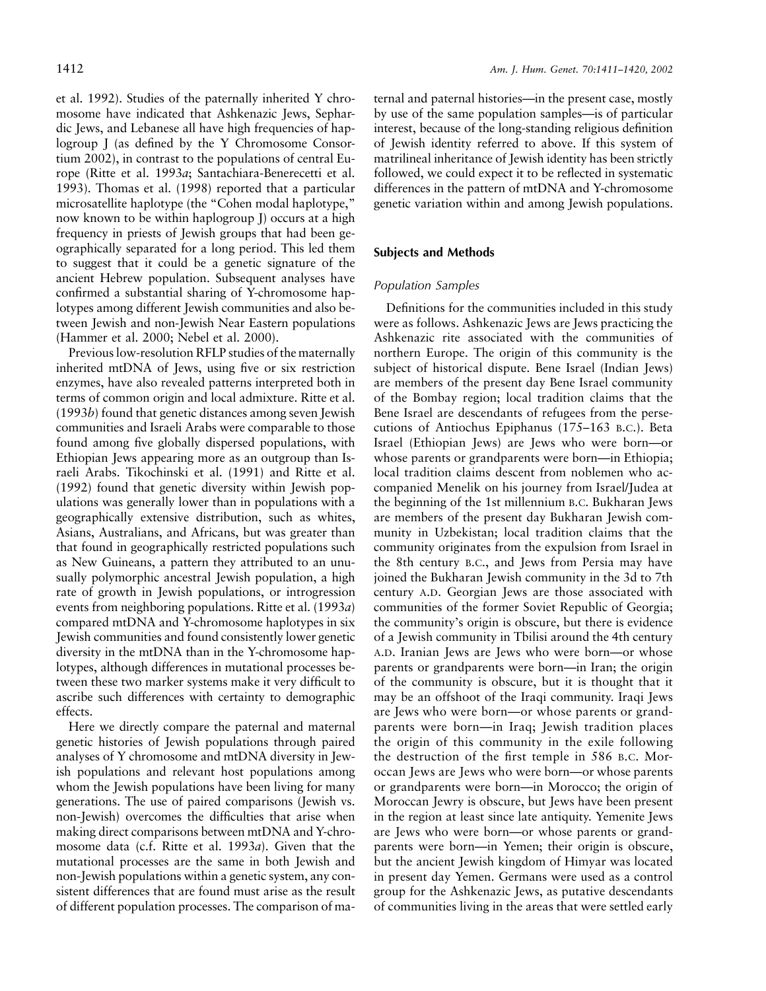et al. 1992). Studies of the paternally inherited Y chromosome have indicated that Ashkenazic Jews, Sephardic Jews, and Lebanese all have high frequencies of haplogroup J (as defined by the Y Chromosome Consortium 2002), in contrast to the populations of central Europe (Ritte et al. 1993*a*; Santachiara-Benerecetti et al. 1993). Thomas et al. (1998) reported that a particular microsatellite haplotype (the "Cohen modal haplotype," now known to be within haplogroup J) occurs at a high frequency in priests of Jewish groups that had been geographically separated for a long period. This led them to suggest that it could be a genetic signature of the ancient Hebrew population. Subsequent analyses have confirmed a substantial sharing of Y-chromosome haplotypes among different Jewish communities and also between Jewish and non-Jewish Near Eastern populations (Hammer et al. 2000; Nebel et al. 2000).

Previous low-resolution RFLP studies of the maternally inherited mtDNA of Jews, using five or six restriction enzymes, have also revealed patterns interpreted both in terms of common origin and local admixture. Ritte et al. (1993*b*) found that genetic distances among seven Jewish communities and Israeli Arabs were comparable to those found among five globally dispersed populations, with Ethiopian Jews appearing more as an outgroup than Israeli Arabs. Tikochinski et al. (1991) and Ritte et al. (1992) found that genetic diversity within Jewish populations was generally lower than in populations with a geographically extensive distribution, such as whites, Asians, Australians, and Africans, but was greater than that found in geographically restricted populations such as New Guineans, a pattern they attributed to an unusually polymorphic ancestral Jewish population, a high rate of growth in Jewish populations, or introgression events from neighboring populations. Ritte et al. (1993*a*) compared mtDNA and Y-chromosome haplotypes in six Jewish communities and found consistently lower genetic diversity in the mtDNA than in the Y-chromosome haplotypes, although differences in mutational processes between these two marker systems make it very difficult to ascribe such differences with certainty to demographic effects.

Here we directly compare the paternal and maternal genetic histories of Jewish populations through paired analyses of Y chromosome and mtDNA diversity in Jewish populations and relevant host populations among whom the Jewish populations have been living for many generations. The use of paired comparisons (Jewish vs. non-Jewish) overcomes the difficulties that arise when making direct comparisons between mtDNA and Y-chromosome data (c.f. Ritte et al. 1993*a*). Given that the mutational processes are the same in both Jewish and non-Jewish populations within a genetic system, any consistent differences that are found must arise as the result of different population processes. The comparison of ma-

ternal and paternal histories—in the present case, mostly by use of the same population samples—is of particular interest, because of the long-standing religious definition of Jewish identity referred to above. If this system of matrilineal inheritance of Jewish identity has been strictly followed, we could expect it to be reflected in systematic differences in the pattern of mtDNA and Y-chromosome genetic variation within and among Jewish populations.

## **Subjects and Methods**

## *Population Samples*

Definitions for the communities included in this study were as follows. Ashkenazic Jews are Jews practicing the Ashkenazic rite associated with the communities of northern Europe. The origin of this community is the subject of historical dispute. Bene Israel (Indian Jews) are members of the present day Bene Israel community of the Bombay region; local tradition claims that the Bene Israel are descendants of refugees from the persecutions of Antiochus Epiphanus (175–163 B.C.). Beta Israel (Ethiopian Jews) are Jews who were born—or whose parents or grandparents were born—in Ethiopia; local tradition claims descent from noblemen who accompanied Menelik on his journey from Israel/Judea at the beginning of the 1st millennium B.C. Bukharan Jews are members of the present day Bukharan Jewish community in Uzbekistan; local tradition claims that the community originates from the expulsion from Israel in the 8th century B.C., and Jews from Persia may have joined the Bukharan Jewish community in the 3d to 7th century A.D. Georgian Jews are those associated with communities of the former Soviet Republic of Georgia; the community's origin is obscure, but there is evidence of a Jewish community in Tbilisi around the 4th century A.D. Iranian Jews are Jews who were born—or whose parents or grandparents were born—in Iran; the origin of the community is obscure, but it is thought that it may be an offshoot of the Iraqi community. Iraqi Jews are Jews who were born—or whose parents or grandparents were born—in Iraq; Jewish tradition places the origin of this community in the exile following the destruction of the first temple in 586 B.C. Moroccan Jews are Jews who were born—or whose parents or grandparents were born—in Morocco; the origin of Moroccan Jewry is obscure, but Jews have been present in the region at least since late antiquity. Yemenite Jews are Jews who were born—or whose parents or grandparents were born—in Yemen; their origin is obscure, but the ancient Jewish kingdom of Himyar was located in present day Yemen. Germans were used as a control group for the Ashkenazic Jews, as putative descendants of communities living in the areas that were settled early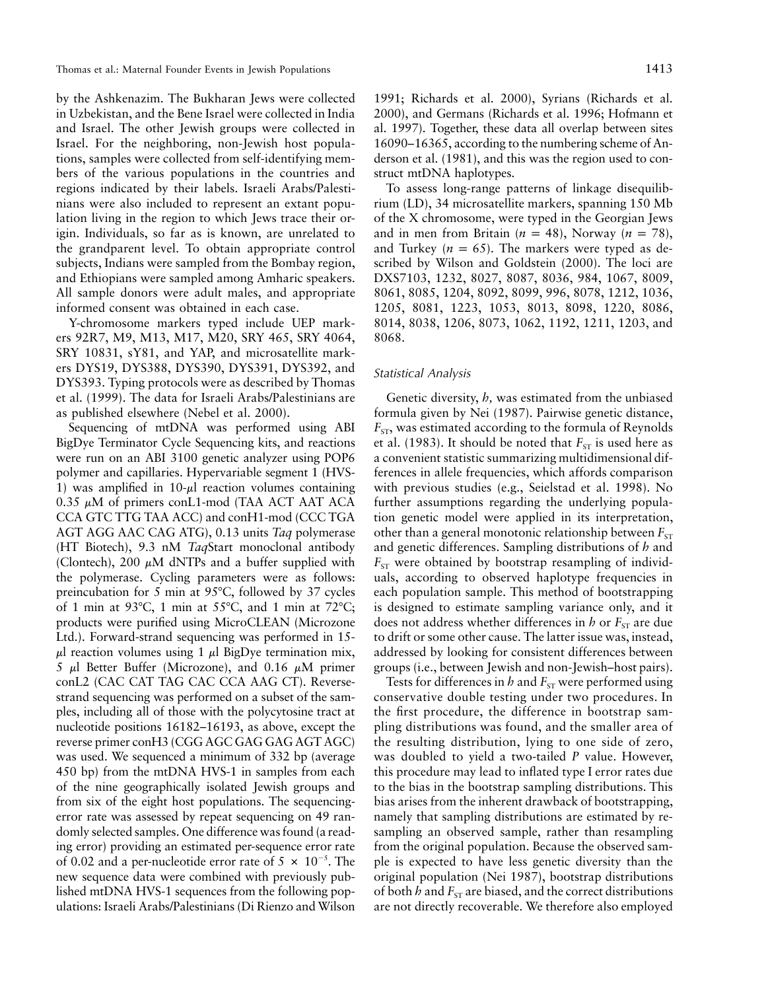by the Ashkenazim. The Bukharan Jews were collected in Uzbekistan, and the Bene Israel were collected in India and Israel. The other Jewish groups were collected in Israel. For the neighboring, non-Jewish host populations, samples were collected from self-identifying members of the various populations in the countries and regions indicated by their labels. Israeli Arabs/Palestinians were also included to represent an extant population living in the region to which Jews trace their origin. Individuals, so far as is known, are unrelated to the grandparent level. To obtain appropriate control subjects, Indians were sampled from the Bombay region, and Ethiopians were sampled among Amharic speakers. All sample donors were adult males, and appropriate informed consent was obtained in each case.

Y-chromosome markers typed include UEP markers 92R7, M9, M13, M17, M20, SRY 465, SRY 4064, SRY 10831, sY81, and YAP, and microsatellite markers DYS19, DYS388, DYS390, DYS391, DYS392, and DYS393. Typing protocols were as described by Thomas et al. (1999). The data for Israeli Arabs/Palestinians are as published elsewhere (Nebel et al. 2000).

Sequencing of mtDNA was performed using ABI BigDye Terminator Cycle Sequencing kits, and reactions were run on an ABI 3100 genetic analyzer using POP6 polymer and capillaries. Hypervariable segment 1 (HVS-1) was amplified in  $10-\mu l$  reaction volumes containing 0.35  $\mu$ M of primers conL1-mod (TAA ACT AAT ACA CCA GTC TTG TAA ACC) and conH1-mod (CCC TGA AGT AGG AAC CAG ATG), 0.13 units *Taq* polymerase (HT Biotech), 9.3 nM *Taq*Start monoclonal antibody (Clontech), 200  $\mu$ M dNTPs and a buffer supplied with the polymerase. Cycling parameters were as follows: preincubation for 5 min at 95°C, followed by 37 cycles of 1 min at 93°C, 1 min at 55°C, and 1 min at 72°C; products were purified using MicroCLEAN (Microzone Ltd.). Forward-strand sequencing was performed in 15-  $\mu$ l reaction volumes using 1  $\mu$ l BigDye termination mix, 5  $\mu$ l Better Buffer (Microzone), and 0.16  $\mu$ M primer conL2 (CAC CAT TAG CAC CCA AAG CT). Reversestrand sequencing was performed on a subset of the samples, including all of those with the polycytosine tract at nucleotide positions 16182–16193, as above, except the reverse primer conH3 (CGG AGC GAG GAG AGT AGC) was used. We sequenced a minimum of 332 bp (average 450 bp) from the mtDNA HVS-1 in samples from each of the nine geographically isolated Jewish groups and from six of the eight host populations. The sequencingerror rate was assessed by repeat sequencing on 49 randomly selected samples. One difference was found (a reading error) providing an estimated per-sequence error rate of 0.02 and a per-nucleotide error rate of  $5 \times 10^{-5}$ . The new sequence data were combined with previously published mtDNA HVS-1 sequences from the following populations: Israeli Arabs/Palestinians (Di Rienzo and Wilson

1991; Richards et al. 2000), Syrians (Richards et al. 2000), and Germans (Richards et al. 1996; Hofmann et al. 1997). Together, these data all overlap between sites 16090–16365, according to the numbering scheme of Anderson et al. (1981), and this was the region used to construct mtDNA haplotypes.

To assess long-range patterns of linkage disequilibrium (LD), 34 microsatellite markers, spanning 150 Mb of the X chromosome, were typed in the Georgian Jews and in men from Britain ( $n = 48$ ), Norway ( $n = 78$ ), and Turkey ( $n = 65$ ). The markers were typed as described by Wilson and Goldstein (2000). The loci are DXS7103, 1232, 8027, 8087, 8036, 984, 1067, 8009, 8061, 8085, 1204, 8092, 8099, 996, 8078, 1212, 1036, 1205, 8081, 1223, 1053, 8013, 8098, 1220, 8086, 8014, 8038, 1206, 8073, 1062, 1192, 1211, 1203, and 8068.

#### *Statistical Analysis*

Genetic diversity, *h,* was estimated from the unbiased formula given by Nei (1987). Pairwise genetic distance,  $F_{ST}$ , was estimated according to the formula of Reynolds et al. (1983). It should be noted that  $F_{ST}$  is used here as a convenient statistic summarizing multidimensional differences in allele frequencies, which affords comparison with previous studies (e.g., Seielstad et al. 1998). No further assumptions regarding the underlying population genetic model were applied in its interpretation, other than a general monotonic relationship between  $F_{ST}$ and genetic differences. Sampling distributions of *h* and  $F_{ST}$  were obtained by bootstrap resampling of individuals, according to observed haplotype frequencies in each population sample. This method of bootstrapping is designed to estimate sampling variance only, and it does not address whether differences in *h* or  $F_{ST}$  are due to drift or some other cause. The latter issue was, instead, addressed by looking for consistent differences between groups (i.e., between Jewish and non-Jewish–host pairs).

Tests for differences in *h* and  $F_{ST}$  were performed using conservative double testing under two procedures. In the first procedure, the difference in bootstrap sampling distributions was found, and the smaller area of the resulting distribution, lying to one side of zero, was doubled to yield a two-tailed *P* value. However, this procedure may lead to inflated type I error rates due to the bias in the bootstrap sampling distributions. This bias arises from the inherent drawback of bootstrapping, namely that sampling distributions are estimated by resampling an observed sample, rather than resampling from the original population. Because the observed sample is expected to have less genetic diversity than the original population (Nei 1987), bootstrap distributions of both *h* and  $F_{ST}$  are biased, and the correct distributions are not directly recoverable. We therefore also employed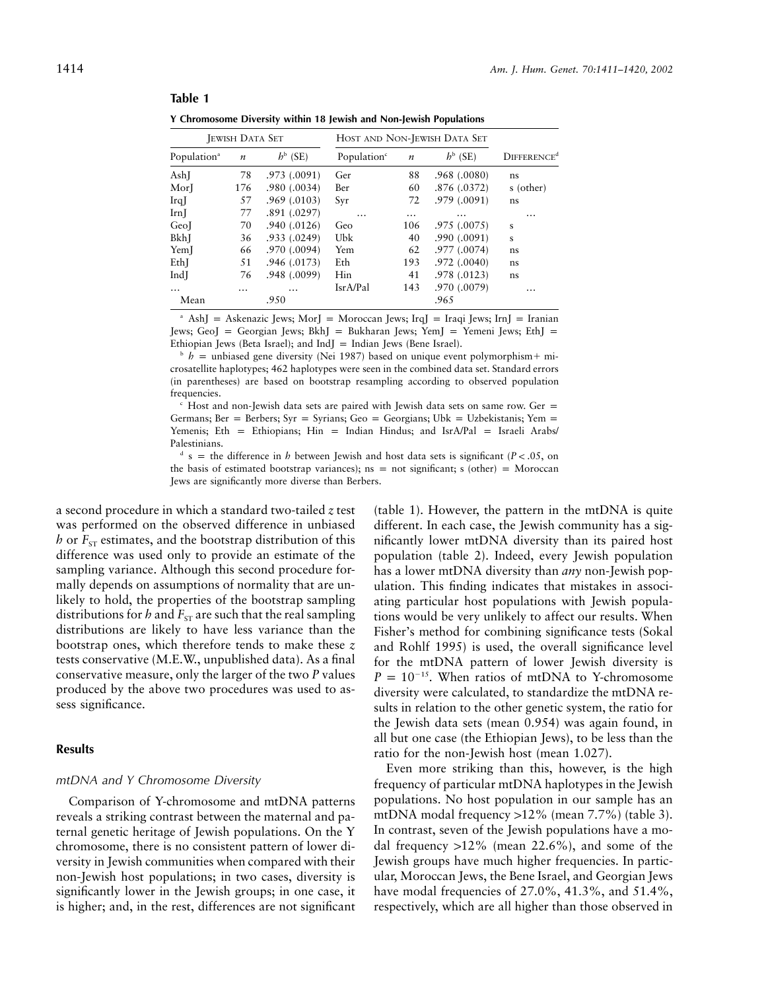|             |                        | r Chromosome Diversity within to Jewish and Non-Jewish Populations |                              |                  |                  |                            |
|-------------|------------------------|--------------------------------------------------------------------|------------------------------|------------------|------------------|----------------------------|
|             | <b>JEWISH DATA SET</b> |                                                                    | HOST AND NON-JEWISH DATA SET |                  |                  |                            |
| Populationª | $\boldsymbol{n}$       | $h^{\rm b}$ (SE)                                                   | Population <sup>c</sup>      | $\boldsymbol{n}$ | $h^{\rm b}$ (SE) | $D$ IFFERENCE <sup>d</sup> |
| AshI        | 78                     | .973(.0091)                                                        | Ger                          | 88               | $.968$ $(.0080)$ | ns                         |
| MorI        | 176                    | .980 (.0034)                                                       | Ber                          | 60               | .876(.0372)      | s (other)                  |
| IrqJ        | 57                     | $.969$ $(.0103)$                                                   | Syr                          | 72               | .979(0.0091)     | ns                         |
| Irn J       | 77                     | .891(.0297)                                                        | $\ddotsc$                    | $\cdots$         | $\cdots$         | $\cdots$                   |
| GeoI        | 70                     | .940(.0126)                                                        | Geo                          | 106              | .975(.0075)      | S                          |
| BkhI        | 36                     | .933(.0249)                                                        | Ubk                          | 40               | .990 (.0091)     | S                          |
| YemI        | 66                     | .970 (.0094)                                                       | Yem                          | 62               | .977(0.0074)     | ns                         |
| EthI        | 51                     | .946(.0173)                                                        | Eth                          | 193              | .972(.0040)      | ns                         |
| IndI        | 76                     | .948(.0099)                                                        | Hin                          | 41               | .978 (.0123)     | ns                         |
| .           | $\cdots$               | .                                                                  | IsrA/Pal                     | 143              | .970(0.0079)     | $\cdots$                   |
| Mean        |                        | .950                                                               |                              |                  | .965             |                            |
|             |                        |                                                                    |                              |                  |                  |                            |

**Y Chromosome Diversity within 18 Jewish and Non-Jewish Populations**

<sup>a</sup> AshJ = Askenazic Jews; MorJ = Moroccan Jews; IrqJ = Iraqi Jews; IrnJ = Iranian Jews; GeoJ = Georgian Jews; BkhJ = Bukharan Jews; YemJ = Yemeni Jews; EthJ = Ethiopian Jews (Beta Israel); and IndJ = Indian Jews (Bene Israel).

 $h h =$  unbiased gene diversity (Nei 1987) based on unique event polymorphism+ microsatellite haplotypes; 462 haplotypes were seen in the combined data set. Standard errors (in parentheses) are based on bootstrap resampling according to observed population frequencies.

 $c$  Host and non-Jewish data sets are paired with Jewish data sets on same row. Ger = Germans; Ber = Berbers; Syr = Syrians; Geo = Georgians; Ubk = Uzbekistanis; Yem = Yemenis; Eth = Ethiopians; Hin = Indian Hindus; and IsrA/Pal = Israeli Arabs/ Palestinians.

 $d$  s = the difference in *h* between Jewish and host data sets is significant ( $P < .05$ , on the basis of estimated bootstrap variances); ns = not significant; s (other) = Moroccan Jews are significantly more diverse than Berbers.

a second procedure in which a standard two-tailed *z* test was performed on the observed difference in unbiased *h* or  $F_{ST}$  estimates, and the bootstrap distribution of this difference was used only to provide an estimate of the sampling variance. Although this second procedure formally depends on assumptions of normality that are unlikely to hold, the properties of the bootstrap sampling distributions for *h* and  $F_{ST}$  are such that the real sampling distributions are likely to have less variance than the bootstrap ones, which therefore tends to make these *z* tests conservative (M.E.W., unpublished data). As a final conservative measure, only the larger of the two *P* values produced by the above two procedures was used to assess significance.

**Table 1**

#### **Results**

#### *mtDNA and Y Chromosome Diversity*

Comparison of Y-chromosome and mtDNA patterns reveals a striking contrast between the maternal and paternal genetic heritage of Jewish populations. On the Y chromosome, there is no consistent pattern of lower diversity in Jewish communities when compared with their non-Jewish host populations; in two cases, diversity is significantly lower in the Jewish groups; in one case, it is higher; and, in the rest, differences are not significant

(table 1). However, the pattern in the mtDNA is quite different. In each case, the Jewish community has a significantly lower mtDNA diversity than its paired host population (table 2). Indeed, every Jewish population has a lower mtDNA diversity than *any* non-Jewish population. This finding indicates that mistakes in associating particular host populations with Jewish populations would be very unlikely to affect our results. When Fisher's method for combining significance tests (Sokal and Rohlf 1995) is used, the overall significance level for the mtDNA pattern of lower Jewish diversity is  $P = 10^{-15}$ . When ratios of mtDNA to Y-chromosome diversity were calculated, to standardize the mtDNA results in relation to the other genetic system, the ratio for the Jewish data sets (mean 0.954) was again found, in all but one case (the Ethiopian Jews), to be less than the ratio for the non-Jewish host (mean 1.027).

Even more striking than this, however, is the high frequency of particular mtDNA haplotypes in the Jewish populations. No host population in our sample has an mtDNA modal frequency  $>12\%$  (mean 7.7%) (table 3). In contrast, seven of the Jewish populations have a modal frequency  $>12\%$  (mean 22.6%), and some of the Jewish groups have much higher frequencies. In particular, Moroccan Jews, the Bene Israel, and Georgian Jews have modal frequencies of 27.0%, 41.3%, and 51.4%, respectively, which are all higher than those observed in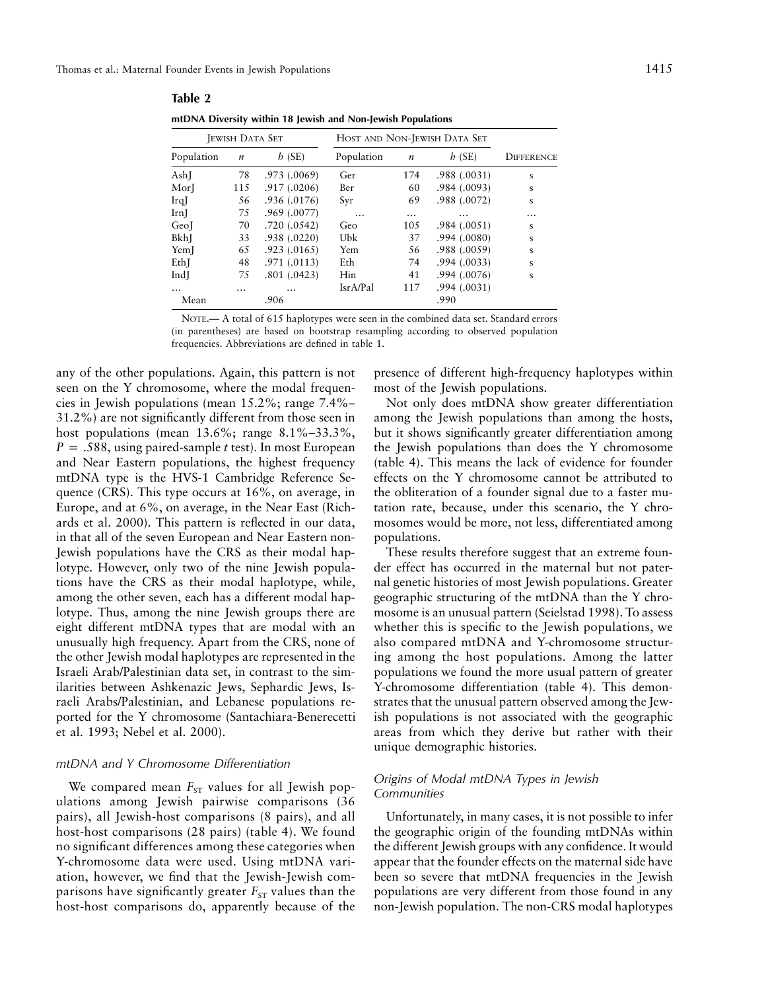**Table 2**

|            | <b>JEWISH DATA SET</b> |                  | HOST AND NON-JEWISH DATA SET |                  |                     |            |
|------------|------------------------|------------------|------------------------------|------------------|---------------------|------------|
| Population | $\boldsymbol{n}$       | $h$ (SE)         | Population                   | $\boldsymbol{n}$ | $h$ (SE)            | DIFFERENCE |
| AshI       | 78                     | .973(.0069)      | Ger                          | 174              | .988(.0031)         | S          |
| MorI       | 115                    | .917(.0206)      | Ber                          | 60               | $.984 \ (.0093)$    | S          |
| IrqJ       | 56                     | .936(.0176)      | Syr                          | 69               | .988 (.0072)        | S          |
| IrnJ       | 75                     | $.969$ $(.0077)$ | $\cdots$                     | $\cdots$         | $\cdots$            | $\cdots$   |
| GeoJ       | 70                     | .720(.0542)      | Geo                          | 105              | .984(.0051)         | s          |
| BkhJ       | 33                     | .938(.0220)      | Ubk                          | 37               | $.994 \cdot 0.0080$ | S          |
| YemI       | 65                     | $.923$ $(.0165)$ | Yem                          | 56               | .988(.0059)         | S          |
| EthJ       | 48                     | .971(.0113)      | Eth                          | 74               | $.994 \ (.0033)$    | S          |
| IndJ       | 75                     | .801(.0423)      | Hin                          | 41               | $.994 \cdot 0.0076$ | S          |
| .          | $\cdots$               |                  | IsrA/Pal                     | 117              | $.994 \; (.0031)$   |            |
| Mean       |                        | .906             |                              |                  | .990                |            |
|            |                        |                  |                              |                  |                     |            |

**mtDNA Diversity within 18 Jewish and Non-Jewish Populations**

NOTE.— A total of 615 haplotypes were seen in the combined data set. Standard errors (in parentheses) are based on bootstrap resampling according to observed population frequencies. Abbreviations are defined in table 1.

any of the other populations. Again, this pattern is not seen on the Y chromosome, where the modal frequencies in Jewish populations (mean 15.2%; range 7.4%– 31.2%) are not significantly different from those seen in host populations (mean 13.6%; range 8.1%–33.3%,  $P = .588$ , using paired-sample *t* test). In most European and Near Eastern populations, the highest frequency mtDNA type is the HVS-1 Cambridge Reference Sequence (CRS). This type occurs at 16%, on average, in Europe, and at 6%, on average, in the Near East (Richards et al. 2000). This pattern is reflected in our data, in that all of the seven European and Near Eastern non-Jewish populations have the CRS as their modal haplotype. However, only two of the nine Jewish populations have the CRS as their modal haplotype, while, among the other seven, each has a different modal haplotype. Thus, among the nine Jewish groups there are eight different mtDNA types that are modal with an unusually high frequency. Apart from the CRS, none of the other Jewish modal haplotypes are represented in the Israeli Arab/Palestinian data set, in contrast to the similarities between Ashkenazic Jews, Sephardic Jews, Israeli Arabs/Palestinian, and Lebanese populations reported for the Y chromosome (Santachiara-Benerecetti et al. 1993; Nebel et al. 2000).

### *mtDNA and Y Chromosome Differentiation*

We compared mean  $F_{ST}$  values for all Jewish populations among Jewish pairwise comparisons (36 pairs), all Jewish-host comparisons (8 pairs), and all host-host comparisons (28 pairs) (table 4). We found no significant differences among these categories when Y-chromosome data were used. Using mtDNA variation, however, we find that the Jewish-Jewish comparisons have significantly greater  $F_{ST}$  values than the host-host comparisons do, apparently because of the

presence of different high-frequency haplotypes within most of the Jewish populations.

Not only does mtDNA show greater differentiation among the Jewish populations than among the hosts, but it shows significantly greater differentiation among the Jewish populations than does the Y chromosome (table 4). This means the lack of evidence for founder effects on the Y chromosome cannot be attributed to the obliteration of a founder signal due to a faster mutation rate, because, under this scenario, the Y chromosomes would be more, not less, differentiated among populations.

These results therefore suggest that an extreme founder effect has occurred in the maternal but not paternal genetic histories of most Jewish populations. Greater geographic structuring of the mtDNA than the Y chromosome is an unusual pattern (Seielstad 1998). To assess whether this is specific to the Jewish populations, we also compared mtDNA and Y-chromosome structuring among the host populations. Among the latter populations we found the more usual pattern of greater Y-chromosome differentiation (table 4). This demonstrates that the unusual pattern observed among the Jewish populations is not associated with the geographic areas from which they derive but rather with their unique demographic histories.

#### *Origins of Modal mtDNA Types in Jewish Communities*

Unfortunately, in many cases, it is not possible to infer the geographic origin of the founding mtDNAs within the different Jewish groups with any confidence. It would appear that the founder effects on the maternal side have been so severe that mtDNA frequencies in the Jewish populations are very different from those found in any non-Jewish population. The non-CRS modal haplotypes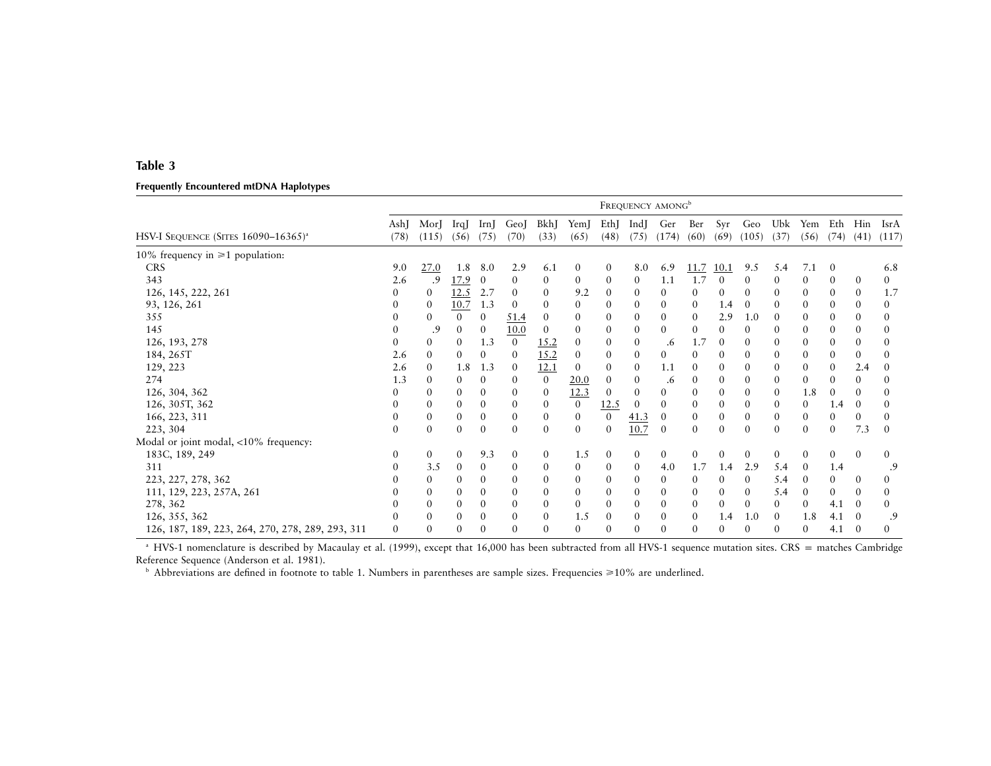| labi |  |
|------|--|
|      |  |

#### **Frequently Encountered mtDNA Haplotypes**

|                                                    |              |                |                         |               |                |                      |                          |                | FREQUENCY AMONG <sup>b</sup> |                |                |                |                |                |                |                |                |          |
|----------------------------------------------------|--------------|----------------|-------------------------|---------------|----------------|----------------------|--------------------------|----------------|------------------------------|----------------|----------------|----------------|----------------|----------------|----------------|----------------|----------------|----------|
|                                                    | AshI<br>(78) | Morl<br>(115)  | $I_{\text{rq}}$<br>(56) | Irn J<br>(75) | GeoI<br>(70)   | <b>Bkh</b> J<br>(33) | Yem <sub>I</sub><br>(65) | EthJ<br>(48)   | Ind <sub>I</sub><br>(75)     | Ger<br>(174)   | Ber<br>(60)    | Syr<br>(69)    | Geo<br>(105)   | Ubk<br>(37)    | Yem            | Eth<br>(74)    | Hin            | IsrA     |
| HSV-I SEQUENCE (SITES $16090-16365$ ) <sup>a</sup> |              |                |                         |               |                |                      |                          |                |                              |                |                |                |                |                | (56)           |                | (41)           | (117)    |
| 10% frequency in $\geq 1$ population:              |              |                |                         |               |                |                      |                          |                |                              |                |                |                |                |                |                |                |                |          |
| <b>CRS</b>                                         | 9.0          | 27.0           | 1.8                     | 8.0           | 2.9            | 6.1                  | $\overline{0}$           | 0              | 8.0                          | 6.9            | 11.7           | 10.1           | 9.5            | 5.4            | 7.1            | $\overline{0}$ |                | 6.8      |
| 343                                                | 2.6          | .9             | 17.9                    | $\theta$      | $\Omega$       | $\overline{0}$       | $\Omega$                 | $\mathbf{0}$   | $\overline{0}$               | 1.1            | 1.7            | $\Omega$       | $\Omega$       | $\overline{0}$ | $\Omega$       | $\Omega$       | $\theta$       | $\Omega$ |
| 126, 145, 222, 261                                 |              | $\mathbf{0}$   | 12.5                    | 2.7           | 0              | $\overline{0}$       | 9.2                      | $\overline{0}$ | $\Omega$                     | 0              | $\mathbf{0}$   | 0              | $\mathbf{0}$   | $\theta$       | 0              | $\left($       | $\overline{0}$ | 1.7      |
| 93, 126, 261                                       |              | 0              | 10.7                    | 1.3           | 0              | $\mathbf{0}$         | $\overline{0}$           | 0              | $\theta$                     | $\mathbf{0}$   | $\mathbf{0}$   | 1.4            | 0              | $\theta$       | 0              | 0              | $\mathbf{0}$   | 0        |
| 355                                                |              | 0              | $\Omega$                | $\Omega$      | 51.4           | $\mathbf{0}$         | 0                        | $\mathbf{0}$   | $\Omega$                     | $\theta$       | $\overline{0}$ | 2.9            | 1.0            | $\theta$       | 0              | $\Omega$       | $\mathbf{0}$   | 0        |
| 145                                                |              | .9             | $\theta$                | $\Omega$      | 10.0           | $\Omega$             | 0                        | $\mathbf{0}$   | $\Omega$                     | $\Omega$       | $\mathbf{0}$   | $\Omega$       | 0              | $\theta$       | 0              | $\left($       | $\mathbf{0}$   | $\Omega$ |
| 126, 193, 278                                      |              | $\mathbf{0}$   | $\mathbf{0}$            | 1.3           | $\mathbf{0}$   | 15.2                 | 0                        | $\mathbf{0}$   | $\theta$                     | .6             | 1.7            | $\mathbf{0}$   | 0              | $\mathbf{0}$   | 0              | $\Omega$       | $\mathbf{0}$   | 0        |
| 184, 265T                                          | 2.6          | 0              | $\mathbf{0}$            | $\theta$      | $\mathbf{0}$   | 15.2                 | $\Omega$                 | $\mathbf{0}$   | $\theta$                     | 0              | $\mathbf{0}$   | $\mathbf{0}$   | $\theta$       | $\theta$       | 0              | 0              | $\mathbf{0}$   | $\Omega$ |
| 129, 223                                           | 2.6          | $\Omega$       | 1.8                     | 1.3           | $\left($       | 12.1                 | 0                        | 0              | $\Omega$                     | 1.1            | $\theta$       | 0              | 0              | $\theta$       | 0              | $\left($       | 2.4            | $\Omega$ |
| 274                                                | 1.3          | $\Omega$       | $\Omega$                | $\Omega$      | $\Omega$       | $\overline{0}$       | 20.0                     | 0              | $\Omega$                     | .6             | $\mathbf{0}$   | $\theta$       | $\mathbf{0}$   | $\theta$       | 0              | $\theta$       | $\mathbf{0}$   | $\Omega$ |
| 126, 304, 362                                      |              | 0              | $\theta$                | $\Omega$      | $\mathbf{0}$   | $\mathbf{0}$         | 12.3                     | $\theta$       | $\Omega$                     | 0              | $\mathbf{0}$   | $\theta$       | $\mathbf{0}$   | $\overline{0}$ | 1.8            | $\Omega$       | $\Omega$       |          |
| 126, 305T, 362                                     | $\theta$     | $\mathbf{0}$   | $\mathbf{0}$            | $\theta$      | $\mathbf{0}$   | $\mathbf{0}$         | $\overline{0}$           | <u>12.5</u>    | $\theta$                     |                | $\mathbf{0}$   | $\theta$       | $\mathbf{0}$   | $\overline{0}$ | $\overline{0}$ | 1.4            | $\mathbf{0}$   | 0        |
| 166, 223, 311                                      |              | $\mathbf{0}$   | $\Omega$                | $\Omega$      | $\Omega$       | $\overline{0}$       | $\theta$                 | $\overline{0}$ | 41.3                         | 0              | $\mathbf{0}$   | $\theta$       | $\mathbf{0}$   | $\mathbf{0}$   | 0              | $\left($       | $\Omega$       | 0        |
| 223, 304                                           | $\Omega$     | $\Omega$       | $\Omega$                | $\Omega$      | $\Omega$       | $\Omega$             | $\Omega$                 | $\Omega$       | 10.7                         | $\Omega$       | $\Omega$       | $\Omega$       | $\Omega$       | $\Omega$       | $\Omega$       | $\Omega$       | 7.3            | $\Omega$ |
| Modal or joint modal, <10% frequency:              |              |                |                         |               |                |                      |                          |                |                              |                |                |                |                |                |                |                |                |          |
| 183C, 189, 249                                     | $\Omega$     | $\Omega$       | $\Omega$                | 9.3           | $\overline{0}$ | $\mathbf{0}$         | 1.5                      | $\theta$       | $\Omega$                     | $\mathbf{0}$   | $\overline{0}$ | $\overline{0}$ | $\mathbf{0}$   | $\overline{0}$ | $\Omega$       | $\overline{0}$ | $\theta$       | $\Omega$ |
| 311                                                |              | 3.5            | $\left($                | $\Omega$      | $\Omega$       | $\mathbf{0}$         | $\Omega$                 | $\theta$       | $\Omega$                     | 4.0            | 1.7            | 1.4            | 2.9            | 5.4            | $\Omega$       | 1.4            |                |          |
| 223, 227, 278, 362                                 |              | $\overline{0}$ | $\Omega$                | $\Omega$      | $\Omega$       | $\Omega$             | $\Omega$                 | $\mathbf{0}$   | $\theta$                     | $\overline{0}$ | $\overline{0}$ | $\mathbf{0}$   | $\overline{0}$ | 5.4            | $\mathbf{0}$   | $\mathbf{0}$   | $\mathbf{0}$   | $\Omega$ |
| 111, 129, 223, 257A, 261                           |              | $\Omega$       | 0                       | $\Omega$      | $\Omega$       | $\Omega$             | 0                        | $\Omega$       | $\left($                     | $\theta$       | $\overline{0}$ | 0              | $\theta$       | 5.4            | 0              | $\Omega$       | $\theta$       | 0        |
| 278, 362                                           |              | 0              | $\theta$                | $\Omega$      | $\mathbf{0}$   | $\mathbf{0}$         | $\Omega$                 | 0              | $\overline{0}$               | $\overline{0}$ | $\overline{0}$ | $\overline{0}$ | $\mathbf{0}$   | $\overline{0}$ | 0              | 4.1            | 0              | 0        |
| 126, 355, 362                                      |              | $\Omega$       | $\Omega$                | $\Omega$      | $\Omega$       | $\mathbf{0}$         | 1.5                      | $\mathbf{0}$   | $\Omega$                     | $\Omega$       | $\overline{0}$ | 1.4            | 1.0            | $\overline{0}$ | 1.8            | 4.1            | $\overline{0}$ | .9       |
| 126, 187, 189, 223, 264, 270, 278, 289, 293, 311   | $\Omega$     | $\theta$       | $\Omega$                | $\Omega$      | $\Omega$       | $\Omega$             | $\Omega$                 | 0              | $\Omega$                     | $\Omega$       | $\mathbf{0}$   | 0              | 0              | $\mathbf{0}$   | 0              | 4.1            | $\theta$       | 0        |

 $^{\circ}$  HVS-1 nomenclature is described by Macaulay et al. (1999), except that 16,000 has been subtracted from all HVS-1 sequence mutation sites. CRS = matches Cambridge

Reference Sequence (Anderson et al. 1981).<br>b Abbreviations are defined in footnote to table 1. Numbers in parentheses are sample sizes. Frequencies ≥10% are underlined.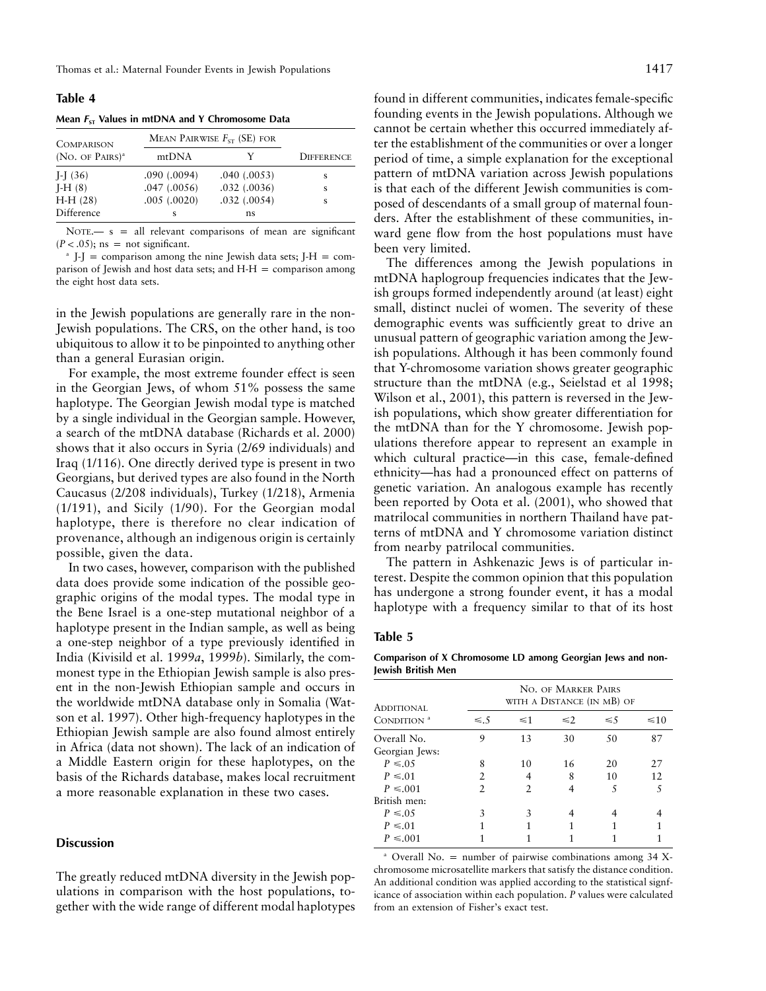| Table 4                                             |  |
|-----------------------------------------------------|--|
| Mean $F_{ST}$ Values in mtDNA and Y Chromosome Data |  |

| <b>COMPARISON</b>           | MEAN PAIRWISE $F_{ST}$ (SE) FOR |                   |            |
|-----------------------------|---------------------------------|-------------------|------------|
| (NO. OF PAIRS) <sup>a</sup> | mtDNA                           | Y                 | DIFFERENCE |
| $I-I(36)$                   | $.090$ $(.0094)$                | .040(.0053)       | s          |
| $I-H(8)$                    | $.047 \,(.0056)$                | $.032 \; (.0036)$ | s          |
| $H-H (28)$                  | .005(.0020)                     | $.032$ $(.0054)$  | s          |
| Difference                  | S                               | ns                |            |

NOTE $-$  s = all relevant comparisons of mean are significant  $(P < .05)$ ; ns = not significant.

<sup>a</sup> J-J = comparison among the nine Jewish data sets; J-H = comparison of Jewish and host data sets; and  $H-H =$  comparison among the eight host data sets.

in the Jewish populations are generally rare in the non-Jewish populations. The CRS, on the other hand, is too ubiquitous to allow it to be pinpointed to anything other than a general Eurasian origin.

For example, the most extreme founder effect is seen in the Georgian Jews, of whom 51% possess the same haplotype. The Georgian Jewish modal type is matched by a single individual in the Georgian sample. However, a search of the mtDNA database (Richards et al. 2000) shows that it also occurs in Syria (2/69 individuals) and Iraq (1/116). One directly derived type is present in two Georgians, but derived types are also found in the North Caucasus (2/208 individuals), Turkey (1/218), Armenia (1/191), and Sicily (1/90). For the Georgian modal haplotype, there is therefore no clear indication of provenance, although an indigenous origin is certainly possible, given the data.

In two cases, however, comparison with the published data does provide some indication of the possible geographic origins of the modal types. The modal type in the Bene Israel is a one-step mutational neighbor of a haplotype present in the Indian sample, as well as being a one-step neighbor of a type previously identified in India (Kivisild et al. 1999*a*, 1999*b*). Similarly, the commonest type in the Ethiopian Jewish sample is also present in the non-Jewish Ethiopian sample and occurs in the worldwide mtDNA database only in Somalia (Watson et al. 1997). Other high-frequency haplotypes in the Ethiopian Jewish sample are also found almost entirely in Africa (data not shown). The lack of an indication of a Middle Eastern origin for these haplotypes, on the basis of the Richards database, makes local recruitment a more reasonable explanation in these two cases.

#### **Discussion**

The greatly reduced mtDNA diversity in the Jewish populations in comparison with the host populations, together with the wide range of different modal haplotypes

found in different communities, indicates female-specific founding events in the Jewish populations. Although we cannot be certain whether this occurred immediately after the establishment of the communities or over a longer period of time, a simple explanation for the exceptional pattern of mtDNA variation across Jewish populations is that each of the different Jewish communities is composed of descendants of a small group of maternal founders. After the establishment of these communities, inward gene flow from the host populations must have been very limited.

The differences among the Jewish populations in mtDNA haplogroup frequencies indicates that the Jewish groups formed independently around (at least) eight small, distinct nuclei of women. The severity of these demographic events was sufficiently great to drive an unusual pattern of geographic variation among the Jewish populations. Although it has been commonly found that Y-chromosome variation shows greater geographic structure than the mtDNA (e.g., Seielstad et al 1998; Wilson et al., 2001), this pattern is reversed in the Jewish populations, which show greater differentiation for the mtDNA than for the Y chromosome. Jewish populations therefore appear to represent an example in which cultural practice—in this case, female-defined ethnicity—has had a pronounced effect on patterns of genetic variation. An analogous example has recently been reported by Oota et al. (2001), who showed that matrilocal communities in northern Thailand have patterns of mtDNA and Y chromosome variation distinct from nearby patrilocal communities.

The pattern in Ashkenazic Jews is of particular interest. Despite the common opinion that this population has undergone a strong founder event, it has a modal haplotype with a frequency similar to that of its host

#### **Table 5**

**Comparison of X Chromosome LD among Georgian Jews and non-Jewish British Men**

| ADDITIONAL             |               |               | NO. OF MARKER PAIRS | WITH A DISTANCE (IN MB) OF |           |
|------------------------|---------------|---------------|---------------------|----------------------------|-----------|
| CONDITION <sup>a</sup> | $\leq 5$      | $\leq 1$      | $\leq 2$            | $\leq 5$                   | $\leq 10$ |
| Overall No.            | 9             | 13            | 30                  | 50                         | 87        |
| Georgian Jews:         |               |               |                     |                            |           |
| $P \leq 0.5$           | 8             | 10            | 16                  | 20                         | 27        |
| $P \leq 0.01$          |               | 4             | 8                   | 10                         | 12        |
| $P \leq 0.01$          | $\mathcal{P}$ | $\mathcal{P}$ | 4                   | 5                          | 5         |
| British men:           |               |               |                     |                            |           |
| $P \le 0.05$           | 3             | 3             | 4                   | 4                          |           |
| $P \leq 0.01$          |               |               |                     |                            |           |
| $P \le 0.001$          |               |               |                     |                            |           |

<sup>a</sup> Overall No. = number of pairwise combinations among 34 Xchromosome microsatellite markers that satisfy the distance condition. An additional condition was applied according to the statistical signficance of association within each population. *P* values were calculated from an extension of Fisher's exact test.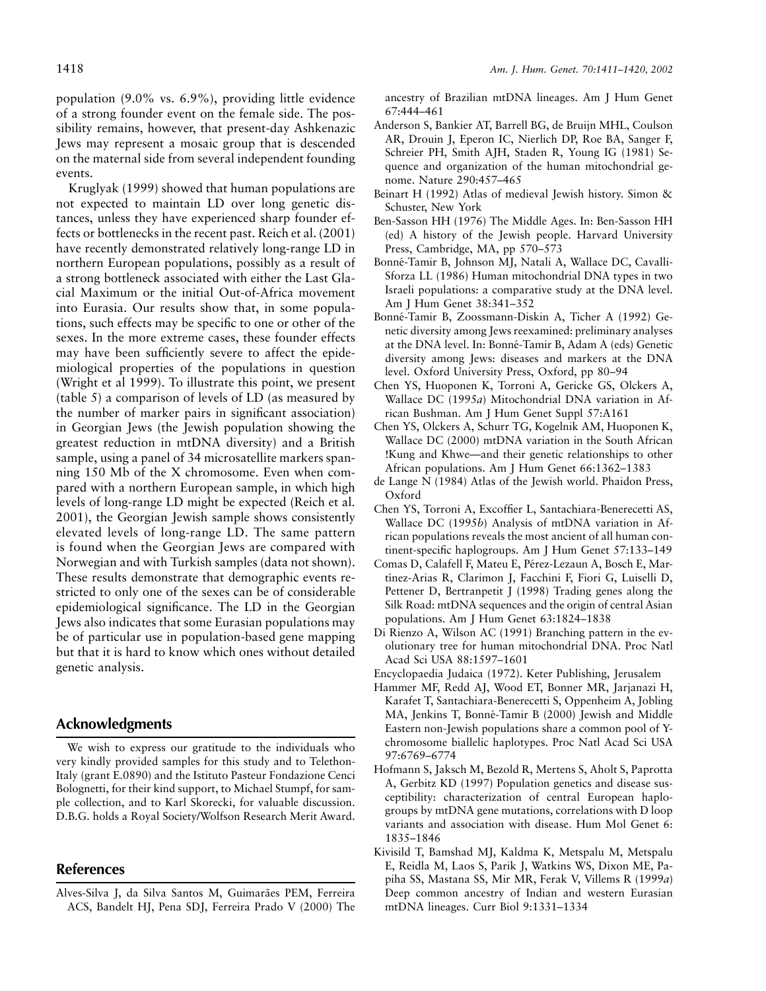on the maternal side from several independent founding

events. Kruglyak (1999) showed that human populations are not expected to maintain LD over long genetic distances, unless they have experienced sharp founder effects or bottlenecks in the recent past. Reich et al. (2001) have recently demonstrated relatively long-range LD in northern European populations, possibly as a result of a strong bottleneck associated with either the Last Glacial Maximum or the initial Out-of-Africa movement into Eurasia. Our results show that, in some populations, such effects may be specific to one or other of the sexes. In the more extreme cases, these founder effects may have been sufficiently severe to affect the epidemiological properties of the populations in question (Wright et al 1999). To illustrate this point, we present (table 5) a comparison of levels of LD (as measured by the number of marker pairs in significant association) in Georgian Jews (the Jewish population showing the greatest reduction in mtDNA diversity) and a British sample, using a panel of 34 microsatellite markers spanning 150 Mb of the X chromosome. Even when compared with a northern European sample, in which high levels of long-range LD might be expected (Reich et al. 2001), the Georgian Jewish sample shows consistently elevated levels of long-range LD. The same pattern is found when the Georgian Jews are compared with Norwegian and with Turkish samples (data not shown). These results demonstrate that demographic events restricted to only one of the sexes can be of considerable epidemiological significance. The LD in the Georgian Jews also indicates that some Eurasian populations may be of particular use in population-based gene mapping but that it is hard to know which ones without detailed genetic analysis.

# **Acknowledgments**

We wish to express our gratitude to the individuals who very kindly provided samples for this study and to Telethon-Italy (grant E.0890) and the Istituto Pasteur Fondazione Cenci Bolognetti, for their kind support, to Michael Stumpf, for sample collection, and to Karl Skorecki, for valuable discussion. D.B.G. holds a Royal Society/Wolfson Research Merit Award.

## **References**

Alves-Silva J, da Silva Santos M, Guimarães PEM, Ferreira ACS, Bandelt HJ, Pena SDJ, Ferreira Prado V (2000) The ancestry of Brazilian mtDNA lineages. Am J Hum Genet 67:444–461

- Anderson S, Bankier AT, Barrell BG, de Bruijn MHL, Coulson AR, Drouin J, Eperon IC, Nierlich DP, Roe BA, Sanger F, Schreier PH, Smith AJH, Staden R, Young IG (1981) Sequence and organization of the human mitochondrial genome. Nature 290:457–465
- Beinart H (1992) Atlas of medieval Jewish history. Simon & Schuster, New York
- Ben-Sasson HH (1976) The Middle Ages. In: Ben-Sasson HH (ed) A history of the Jewish people. Harvard University Press, Cambridge, MA, pp 570–573
- Bonné-Tamir B, Johnson MJ, Natali A, Wallace DC, Cavalli-Sforza LL (1986) Human mitochondrial DNA types in two Israeli populations: a comparative study at the DNA level. Am J Hum Genet 38:341–352
- Bonné-Tamir B, Zoossmann-Diskin A, Ticher A (1992) Genetic diversity among Jews reexamined: preliminary analyses at the DNA level. In: Bonné-Tamir B, Adam A (eds) Genetic diversity among Jews: diseases and markers at the DNA level. Oxford University Press, Oxford, pp 80–94
- Chen YS, Huoponen K, Torroni A, Gericke GS, Olckers A, Wallace DC (1995*a*) Mitochondrial DNA variation in African Bushman. Am J Hum Genet Suppl 57:A161
- Chen YS, Olckers A, Schurr TG, Kogelnik AM, Huoponen K, Wallace DC (2000) mtDNA variation in the South African !Kung and Khwe—and their genetic relationships to other African populations. Am J Hum Genet 66:1362–1383
- de Lange N (1984) Atlas of the Jewish world. Phaidon Press, Oxford
- Chen YS, Torroni A, Excoffier L, Santachiara-Benerecetti AS, Wallace DC (1995*b*) Analysis of mtDNA variation in African populations reveals the most ancient of all human continent-specific haplogroups. Am J Hum Genet 57:133–149
- Comas D, Calafell F, Mateu E, Pérez-Lezaun A, Bosch E, Martínez-Arias R, Clarimon J, Facchini F, Fiori G, Luiselli D, Pettener D, Bertranpetit J (1998) Trading genes along the Silk Road: mtDNA sequences and the origin of central Asian populations. Am J Hum Genet 63:1824–1838
- Di Rienzo A, Wilson AC (1991) Branching pattern in the evolutionary tree for human mitochondrial DNA. Proc Natl Acad Sci USA 88:1597–1601

Encyclopaedia Judaica (1972). Keter Publishing, Jerusalem

- Hammer MF, Redd AJ, Wood ET, Bonner MR, Jarjanazi H, Karafet T, Santachiara-Benerecetti S, Oppenheim A, Jobling MA, Jenkins T, Bonné-Tamir B (2000) Jewish and Middle Eastern non-Jewish populations share a common pool of Ychromosome biallelic haplotypes. Proc Natl Acad Sci USA 97:6769–6774
- Hofmann S, Jaksch M, Bezold R, Mertens S, Aholt S, Paprotta A, Gerbitz KD (1997) Population genetics and disease susceptibility: characterization of central European haplogroups by mtDNA gene mutations, correlations with D loop variants and association with disease. Hum Mol Genet 6: 1835–1846
- Kivisild T, Bamshad MJ, Kaldma K, Metspalu M, Metspalu E, Reidla M, Laos S, Parik J, Watkins WS, Dixon ME, Papiha SS, Mastana SS, Mir MR, Ferak V, Villems R (1999*a*) Deep common ancestry of Indian and western Eurasian mtDNA lineages. Curr Biol 9:1331–1334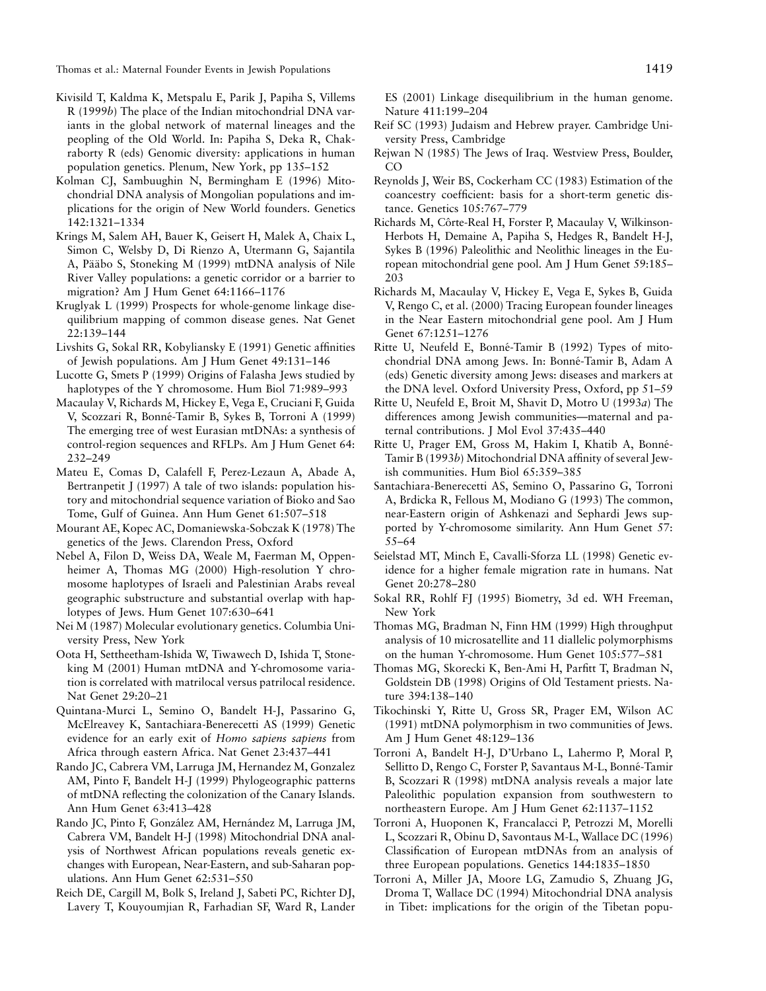Thomas et al.: Maternal Founder Events in Jewish Populations 1419

- Kivisild T, Kaldma K, Metspalu E, Parik J, Papiha S, Villems R (1999*b*) The place of the Indian mitochondrial DNA variants in the global network of maternal lineages and the peopling of the Old World. In: Papiha S, Deka R, Chakraborty R (eds) Genomic diversity: applications in human population genetics. Plenum, New York, pp 135–152
- Kolman CJ, Sambuughin N, Bermingham E (1996) Mitochondrial DNA analysis of Mongolian populations and implications for the origin of New World founders. Genetics 142:1321–1334
- Krings M, Salem AH, Bauer K, Geisert H, Malek A, Chaix L, Simon C, Welsby D, Di Rienzo A, Utermann G, Sajantila A, Pääbo S, Stoneking M (1999) mtDNA analysis of Nile River Valley populations: a genetic corridor or a barrier to migration? Am J Hum Genet 64:1166–1176
- Kruglyak L (1999) Prospects for whole-genome linkage disequilibrium mapping of common disease genes. Nat Genet 22:139–144
- Livshits G, Sokal RR, Kobyliansky E (1991) Genetic affinities of Jewish populations. Am J Hum Genet 49:131–146
- Lucotte G, Smets P (1999) Origins of Falasha Jews studied by haplotypes of the Y chromosome. Hum Biol 71:989–993
- Macaulay V, Richards M, Hickey E, Vega E, Cruciani F, Guida V, Scozzari R, Bonné-Tamir B, Sykes B, Torroni A (1999) The emerging tree of west Eurasian mtDNAs: a synthesis of control-region sequences and RFLPs. Am J Hum Genet 64: 232–249
- Mateu E, Comas D, Calafell F, Perez-Lezaun A, Abade A, Bertranpetit J (1997) A tale of two islands: population history and mitochondrial sequence variation of Bioko and Sao Tome, Gulf of Guinea. Ann Hum Genet 61:507–518
- Mourant AE, Kopec AC, Domaniewska-Sobczak K (1978) The genetics of the Jews. Clarendon Press, Oxford
- Nebel A, Filon D, Weiss DA, Weale M, Faerman M, Oppenheimer A, Thomas MG (2000) High-resolution Y chromosome haplotypes of Israeli and Palestinian Arabs reveal geographic substructure and substantial overlap with haplotypes of Jews. Hum Genet 107:630–641
- Nei M (1987) Molecular evolutionary genetics. Columbia University Press, New York
- Oota H, Settheetham-Ishida W, Tiwawech D, Ishida T, Stoneking M (2001) Human mtDNA and Y-chromosome variation is correlated with matrilocal versus patrilocal residence. Nat Genet 29:20–21
- Quintana-Murci L, Semino O, Bandelt H-J, Passarino G, McElreavey K, Santachiara-Benerecetti AS (1999) Genetic evidence for an early exit of *Homo sapiens sapiens* from Africa through eastern Africa. Nat Genet 23:437–441
- Rando JC, Cabrera VM, Larruga JM, Hernandez M, Gonzalez AM, Pinto F, Bandelt H-J (1999) Phylogeographic patterns of mtDNA reflecting the colonization of the Canary Islands. Ann Hum Genet 63:413–428
- Rando JC, Pinto F, González AM, Hernández M, Larruga JM, Cabrera VM, Bandelt H-J (1998) Mitochondrial DNA analysis of Northwest African populations reveals genetic exchanges with European, Near-Eastern, and sub-Saharan populations. Ann Hum Genet 62:531–550
- Reich DE, Cargill M, Bolk S, Ireland J, Sabeti PC, Richter DJ, Lavery T, Kouyoumjian R, Farhadian SF, Ward R, Lander

ES (2001) Linkage disequilibrium in the human genome. Nature 411:199–204

- Reif SC (1993) Judaism and Hebrew prayer. Cambridge University Press, Cambridge
- Rejwan N (1985) The Jews of Iraq. Westview Press, Boulder, CO
- Reynolds J, Weir BS, Cockerham CC (1983) Estimation of the coancestry coefficient: basis for a short-term genetic distance. Genetics 105:767–779
- Richards M, Côrte-Real H, Forster P, Macaulay V, Wilkinson-Herbots H, Demaine A, Papiha S, Hedges R, Bandelt H-J, Sykes B (1996) Paleolithic and Neolithic lineages in the European mitochondrial gene pool. Am J Hum Genet 59:185– 203
- Richards M, Macaulay V, Hickey E, Vega E, Sykes B, Guida V, Rengo C, et al. (2000) Tracing European founder lineages in the Near Eastern mitochondrial gene pool. Am J Hum Genet 67:1251–1276
- Ritte U, Neufeld E, Bonné-Tamir B (1992) Types of mitochondrial DNA among Jews. In: Bonné-Tamir B, Adam A (eds) Genetic diversity among Jews: diseases and markers at the DNA level. Oxford University Press, Oxford, pp 51–59
- Ritte U, Neufeld E, Broit M, Shavit D, Motro U (1993*a*) The differences among Jewish communities—maternal and paternal contributions. J Mol Evol 37:435–440
- Ritte U, Prager EM, Gross M, Hakim I, Khatib A, Bonné-Tamir B (1993*b*) Mitochondrial DNA affinity of several Jewish communities. Hum Biol 65:359–385
- Santachiara-Benerecetti AS, Semino O, Passarino G, Torroni A, Brdicka R, Fellous M, Modiano G (1993) The common, near-Eastern origin of Ashkenazi and Sephardi Jews supported by Y-chromosome similarity. Ann Hum Genet 57: 55–64
- Seielstad MT, Minch E, Cavalli-Sforza LL (1998) Genetic evidence for a higher female migration rate in humans. Nat Genet 20:278–280
- Sokal RR, Rohlf FJ (1995) Biometry, 3d ed. WH Freeman, New York
- Thomas MG, Bradman N, Finn HM (1999) High throughput analysis of 10 microsatellite and 11 diallelic polymorphisms on the human Y-chromosome. Hum Genet 105:577–581
- Thomas MG, Skorecki K, Ben-Ami H, Parfitt T, Bradman N, Goldstein DB (1998) Origins of Old Testament priests. Nature 394:138–140
- Tikochinski Y, Ritte U, Gross SR, Prager EM, Wilson AC (1991) mtDNA polymorphism in two communities of Jews. Am J Hum Genet 48:129–136
- Torroni A, Bandelt H-J, D'Urbano L, Lahermo P, Moral P, Sellitto D, Rengo C, Forster P, Savantaus M-L, Bonné-Tamir B, Scozzari R (1998) mtDNA analysis reveals a major late Paleolithic population expansion from southwestern to northeastern Europe. Am J Hum Genet 62:1137–1152
- Torroni A, Huoponen K, Francalacci P, Petrozzi M, Morelli L, Scozzari R, Obinu D, Savontaus M-L, Wallace DC (1996) Classification of European mtDNAs from an analysis of three European populations. Genetics 144:1835–1850
- Torroni A, Miller JA, Moore LG, Zamudio S, Zhuang JG, Droma T, Wallace DC (1994) Mitochondrial DNA analysis in Tibet: implications for the origin of the Tibetan popu-